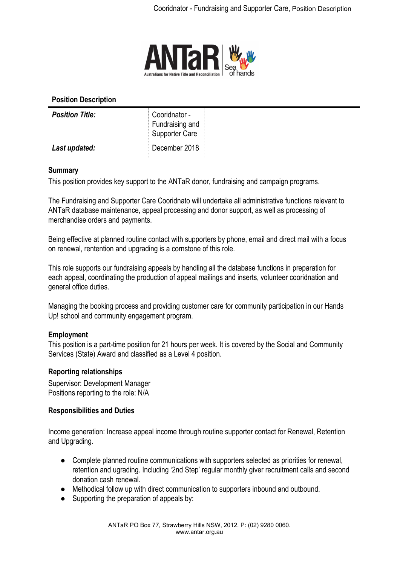

## **Position Description**

| <b>Position Title:</b><br>. | Cooridnator -<br>Fundraising and<br>Supporter Care |  |
|-----------------------------|----------------------------------------------------|--|
| Last updated:               | December 2018                                      |  |

### **Summary**

This position provides key support to the ANTaR donor, fundraising and campaign programs.

The Fundraising and Supporter Care Cooridnato will undertake all administrative functions relevant to ANTaR database maintenance, appeal processing and donor support, as well as processing of merchandise orders and payments.

Being effective at planned routine contact with supporters by phone, email and direct mail with a focus on renewal, rentention and upgrading is a cornstone of this role.

This role supports our fundraising appeals by handling all the database functions in preparation for each appeal, coordinating the production of appeal mailings and inserts, volunteer cooridnation and general office duties.

Managing the booking process and providing customer care for community participation in our Hands Up! school and community engagement program.

# **Employment**

This position is a part-time position for 21 hours per week. It is covered by the Social and Community Services (State) Award and classified as a Level 4 position.

### **Reporting relationships**

Supervisor: Development Manager Positions reporting to the role: N/A

### **Responsibilities and Duties**

Income generation: Increase appeal income through routine supporter contact for Renewal, Retention and Upgrading.

- Complete planned routine communications with supporters selected as priorities for renewal, retention and ugrading. Including '2nd Step' regular monthly giver recruitment calls and second donation cash renewal.
- Methodical follow up with direct communication to supporters inbound and outbound.
- Supporting the preparation of appeals by: